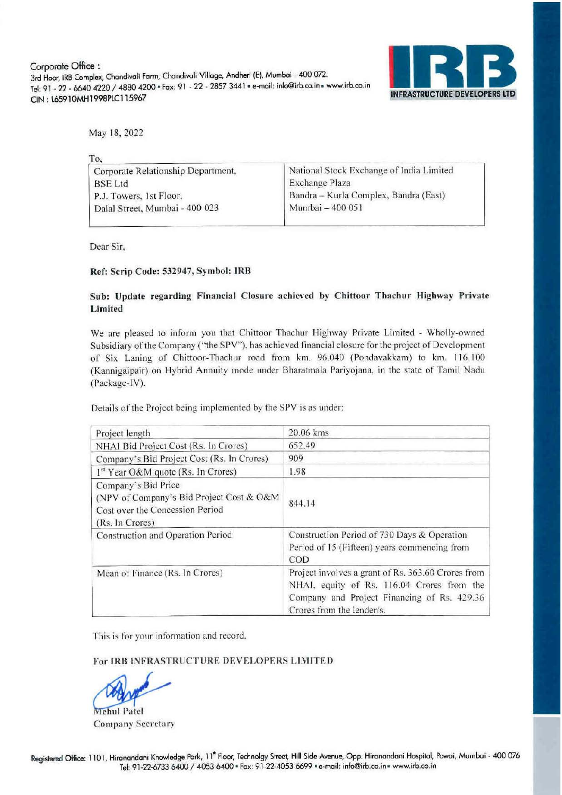Corporate Office: 3rd Floor, IRB Complex, Chandivali Farm, Chandivali Village, Andheri (E), Mumbai - 400 072. Tel: 91 - 22 - 6640 4220 / 4880 4200 · Fax: 91 - 22 - 2857 3441 · e-mail: info@irb.co.in - www.irb.co.in ON: l6591OMHl99SPlCl15967



May 18,2022

| To.                                |                                          |
|------------------------------------|------------------------------------------|
| Corporate Relationship Department, | National Stock Exchange of India Limited |
| <b>BSE</b> Ltd                     | Exchange Plaza                           |
| P.J. Towers, 1st Floor,            | Bandra – Kurla Complex, Bandra (East)    |
| Dalal Street, Mumbai - 400 023     | Mumbai - 400 051                         |
|                                    |                                          |

Dear Sir,

### Ref: Scrip Code: 532947, Symbol: **IRB**

### Sub: Update regarding Financial Closure achieved by Chittoor Thachur Highway Private Limited

We are pleased to inform you that Chittoor Thachur Highway Private Limited - Wholly-owned Subsidiary of the Company ("the SPV"), has achieved financial closure for the project of Development of Six Laning of Chittoor-Thachur road from km. 96.040 (Pondavakkam) to km. 116.100 (Kannigaipair) on Hybrid Annuity mode under Bharatmala Pariyojana, in the state of Tamil Nadu (Package-IV).

Details of the Project being implemented by the SPV is as under:

| Project length                                                                                                        | 20.06 kms                                                                                                                                                                    |
|-----------------------------------------------------------------------------------------------------------------------|------------------------------------------------------------------------------------------------------------------------------------------------------------------------------|
| NHAI Bid Project Cost (Rs. In Crores)                                                                                 | 652.49                                                                                                                                                                       |
| Company's Bid Project Cost (Rs. In Crores)                                                                            | 909                                                                                                                                                                          |
| 1 <sup>st</sup> Year O&M quote (Rs. In Crores)                                                                        | 1.98                                                                                                                                                                         |
| Company's Bid Price<br>(NPV of Company's Bid Project Cost & O&M<br>Cost over the Concession Period<br>(Rs. In Crores) | 844.14                                                                                                                                                                       |
| Construction and Operation Period                                                                                     | Construction Period of 730 Days & Operation<br>Period of 15 (Fifteen) years commencing from<br>COD                                                                           |
| Mean of Finance (Rs. In Crores)                                                                                       | Project involves a grant of Rs. 363.60 Crores from<br>NHAI, equity of Rs. 116.04 Crores from the<br>Company and Project Financing of Rs. 429.36<br>Crores from the lender/s. |

This is for your information and record.

#### For IRB INFRASTRUCTURE DEVELOPERS LIMITED

**Viehul Patel** Company Secretary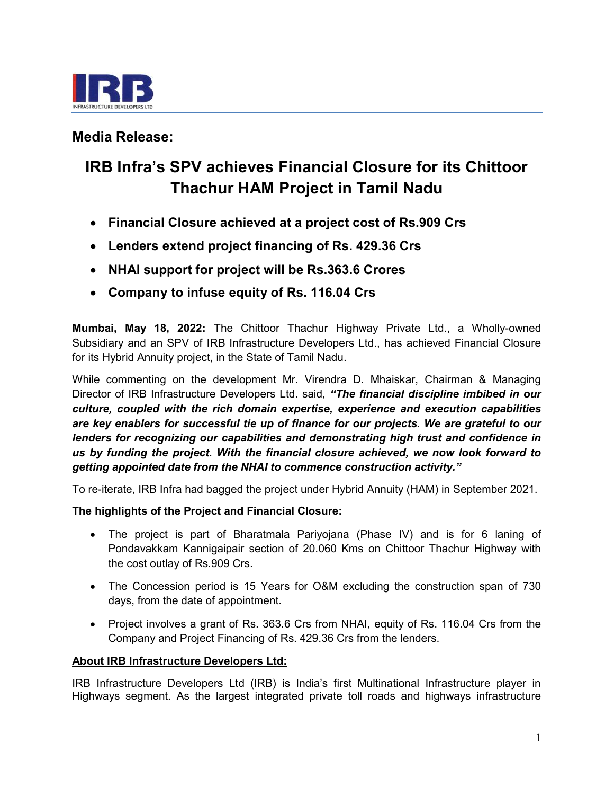

# Media Release:

# IRB Infra's SPV achieves Financial Closure for its Chittoor Thachur HAM Project in Tamil Nadu

- Financial Closure achieved at a project cost of Rs.909 Crs
- Lenders extend project financing of Rs. 429.36 Crs
- NHAI support for project will be Rs.363.6 Crores
- Company to infuse equity of Rs. 116.04 Crs

Mumbai, May 18, 2022: The Chittoor Thachur Highway Private Ltd., a Wholly-owned Subsidiary and an SPV of IRB Infrastructure Developers Ltd., has achieved Financial Closure for its Hybrid Annuity project, in the State of Tamil Nadu.

While commenting on the development Mr. Virendra D. Mhaiskar, Chairman & Managing Director of IRB Infrastructure Developers Ltd. said, "The financial discipline imbibed in our culture, coupled with the rich domain expertise, experience and execution capabilities are key enablers for successful tie up of finance for our projects. We are grateful to our lenders for recognizing our capabilities and demonstrating high trust and confidence in us by funding the project. With the financial closure achieved, we now look forward to getting appointed date from the NHAI to commence construction activity."

To re-iterate, IRB Infra had bagged the project under Hybrid Annuity (HAM) in September 2021.

The highlights of the Project and Financial Closure:

- The project is part of Bharatmala Pariyojana (Phase IV) and is for 6 laning of Pondavakkam Kannigaipair section of 20.060 Kms on Chittoor Thachur Highway with the cost outlay of Rs.909 Crs.
- The Concession period is 15 Years for O&M excluding the construction span of 730 days, from the date of appointment.
- Project involves a grant of Rs. 363.6 Crs from NHAI, equity of Rs. 116.04 Crs from the Company and Project Financing of Rs. 429.36 Crs from the lenders.

# About IRB Infrastructure Developers Ltd:

IRB Infrastructure Developers Ltd (IRB) is India's first Multinational Infrastructure player in Highways segment. As the largest integrated private toll roads and highways infrastructure